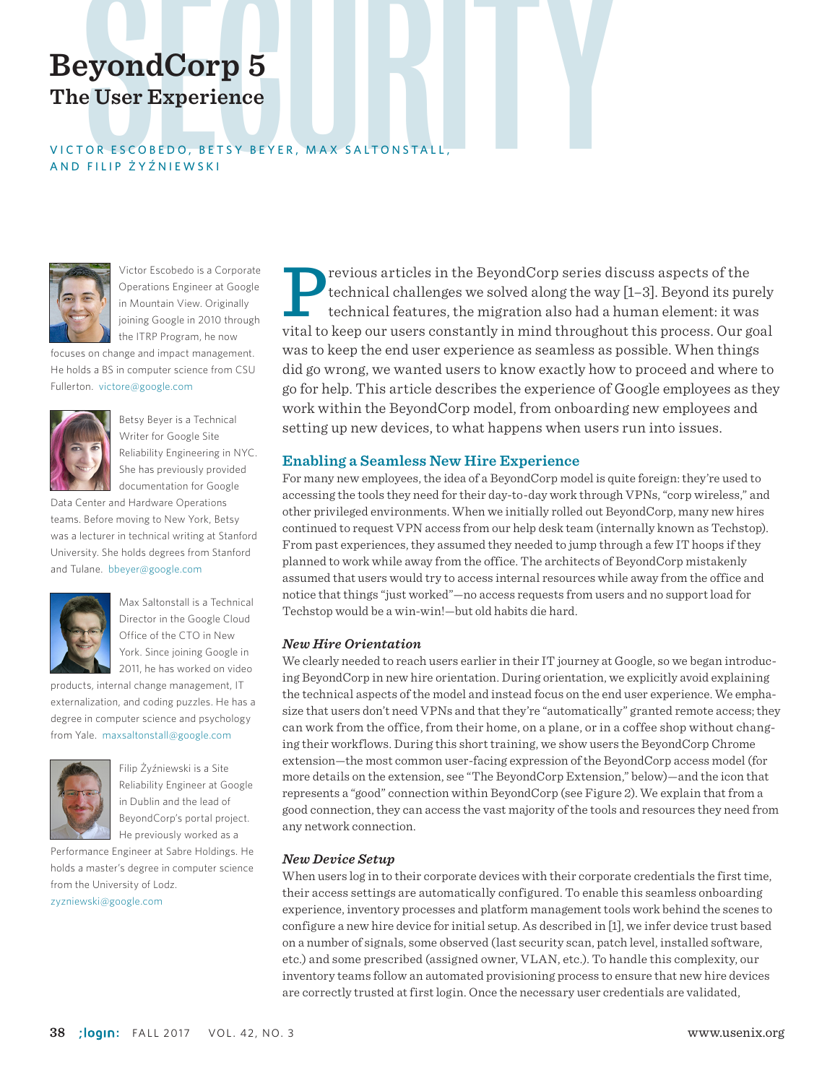# **The User Experience**

# **BeyondCorp 5**<br>The User Experience<br>VICTOR ESCOBEDO, BETSY BEYER, MAX SALTONSTALL,<br>AND FILLP 2Y2NIEWSKI VICTOR ESCOBEDO, BETSY BEYER, MAX SALTONSTALL AND FILIP ŻYŹNIEWSKI



Victor Escobedo is a Corporate Operations Engineer at Google in Mountain View. Originally joining Google in 2010 through the ITRP Program, he now

focuses on change and impact management. He holds a BS in computer science from CSU Fullerton. victore@google.com



Betsy Beyer is a Technical Writer for Google Site Reliability Engineering in NYC. She has previously provided documentation for Google

Data Center and Hardware Operations teams. Before moving to New York, Betsy was a lecturer in technical writing at Stanford University. She holds degrees from Stanford and Tulane. bbeyer@google.com



Max Saltonstall is a Technical Director in the Google Cloud Office of the CTO in New York. Since joining Google in 2011, he has worked on video

products, internal change management, IT externalization, and coding puzzles. He has a degree in computer science and psychology from Yale. maxsaltonstall@google.com



Filip Żyźniewski is a Site Reliability Engineer at Google in Dublin and the lead of BeyondCorp's portal project. He previously worked as a

Performance Engineer at Sabre Holdings. He holds a master's degree in computer science from the University of Lodz. zyzniewski@google.com

Previous articles in the BeyondCorp series discuss aspects of the technical challenges we solved along the way [1–3]. Beyond its pure technical features, the migration also had a human element: it was with the keep our use technical challenges we solved along the way [1–3]. Beyond its purely technical features, the migration also had a human element: it was vital to keep our users constantly in mind throughout this process. Our goal was to keep the end user experience as seamless as possible. When things did go wrong, we wanted users to know exactly how to proceed and where to go for help. This article describes the experience of Google employees as they work within the BeyondCorp model, from onboarding new employees and setting up new devices, to what happens when users run into issues.

#### **Enabling a Seamless New Hire Experience**

For many new employees, the idea of a BeyondCorp model is quite foreign: they're used to accessing the tools they need for their day-to-day work through VPNs, "corp wireless," and other privileged environments. When we initially rolled out BeyondCorp, many new hires continued to request VPN access from our help desk team (internally known as Techstop). From past experiences, they assumed they needed to jump through a few IT hoops if they planned to work while away from the office. The architects of BeyondCorp mistakenly assumed that users would try to access internal resources while away from the office and notice that things "just worked"—no access requests from users and no support load for Techstop would be a win-win!—but old habits die hard.

#### *New Hire Orientation*

We clearly needed to reach users earlier in their IT journey at Google, so we began introducing BeyondCorp in new hire orientation. During orientation, we explicitly avoid explaining the technical aspects of the model and instead focus on the end user experience. We emphasize that users don't need VPNs and that they're "automatically" granted remote access; they can work from the office, from their home, on a plane, or in a coffee shop without changing their workflows. During this short training, we show users the BeyondCorp Chrome extension—the most common user-facing expression of the BeyondCorp access model (for more details on the extension, see "The BeyondCorp Extension," below)—and the icon that represents a "good" connection within BeyondCorp (see Figure 2). We explain that from a good connection, they can access the vast majority of the tools and resources they need from any network connection.

#### *New Device Setup*

When users log in to their corporate devices with their corporate credentials the first time, their access settings are automatically configured. To enable this seamless onboarding experience, inventory processes and platform management tools work behind the scenes to configure a new hire device for initial setup. As described in [1], we infer device trust based on a number of signals, some observed (last security scan, patch level, installed software, etc.) and some prescribed (assigned owner, VLAN, etc.). To handle this complexity, our inventory teams follow an automated provisioning process to ensure that new hire devices are correctly trusted at first login. Once the necessary user credentials are validated,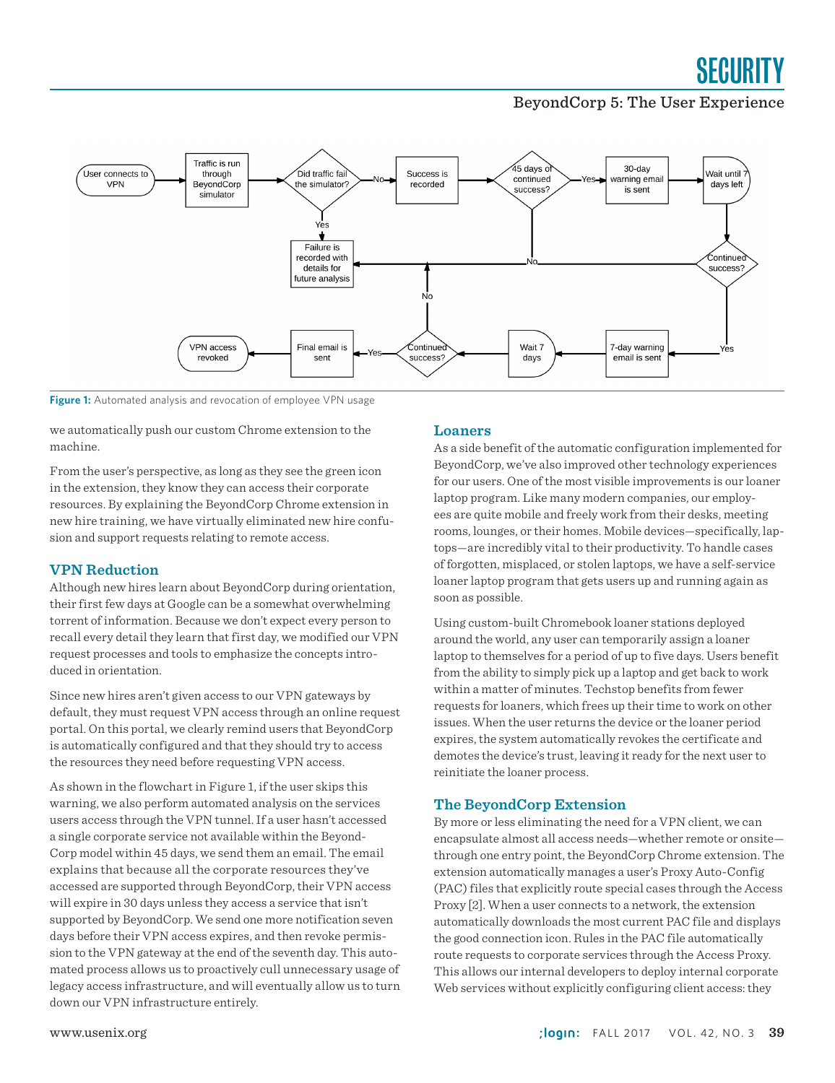### SECURITY

#### BeyondCorp 5: The User Experience



**Figure 1:** Automated analysis and revocation of employee VPN usage

we automatically push our custom Chrome extension to the machine.

From the user's perspective, as long as they see the green icon in the extension, they know they can access their corporate resources. By explaining the BeyondCorp Chrome extension in new hire training, we have virtually eliminated new hire confusion and support requests relating to remote access.

#### **VPN Reduction**

Although new hires learn about BeyondCorp during orientation, their first few days at Google can be a somewhat overwhelming torrent of information. Because we don't expect every person to recall every detail they learn that first day, we modified our VPN request processes and tools to emphasize the concepts introduced in orientation.

Since new hires aren't given access to our VPN gateways by default, they must request VPN access through an online request portal. On this portal, we clearly remind users that BeyondCorp is automatically configured and that they should try to access the resources they need before requesting VPN access.

As shown in the flowchart in Figure 1, if the user skips this warning, we also perform automated analysis on the services users access through the VPN tunnel. If a user hasn't accessed a single corporate service not available within the Beyond-Corp model within 45 days, we send them an email. The email explains that because all the corporate resources they've accessed are supported through BeyondCorp, their VPN access will expire in 30 days unless they access a service that isn't supported by BeyondCorp. We send one more notification seven days before their VPN access expires, and then revoke permission to the VPN gateway at the end of the seventh day. This automated process allows us to proactively cull unnecessary usage of legacy access infrastructure, and will eventually allow us to turn down our VPN infrastructure entirely.

#### **Loaners**

As a side benefit of the automatic configuration implemented for BeyondCorp, we've also improved other technology experiences for our users. One of the most visible improvements is our loaner laptop program. Like many modern companies, our employees are quite mobile and freely work from their desks, meeting rooms, lounges, or their homes. Mobile devices—specifically, laptops—are incredibly vital to their productivity. To handle cases of forgotten, misplaced, or stolen laptops, we have a self-service loaner laptop program that gets users up and running again as soon as possible.

Using custom-built Chromebook loaner stations deployed around the world, any user can temporarily assign a loaner laptop to themselves for a period of up to five days. Users benefit from the ability to simply pick up a laptop and get back to work within a matter of minutes. Techstop benefits from fewer requests for loaners, which frees up their time to work on other issues. When the user returns the device or the loaner period expires, the system automatically revokes the certificate and demotes the device's trust, leaving it ready for the next user to reinitiate the loaner process.

#### **The BeyondCorp Extension**

By more or less eliminating the need for a VPN client, we can encapsulate almost all access needs—whether remote or onsite through one entry point, the BeyondCorp Chrome extension. The extension automatically manages a user's Proxy Auto-Config (PAC) files that explicitly route special cases through the Access Proxy [2]. When a user connects to a network, the extension automatically downloads the most current PAC file and displays the good connection icon. Rules in the PAC file automatically route requests to corporate services through the Access Proxy. This allows our internal developers to deploy internal corporate Web services without explicitly configuring client access: they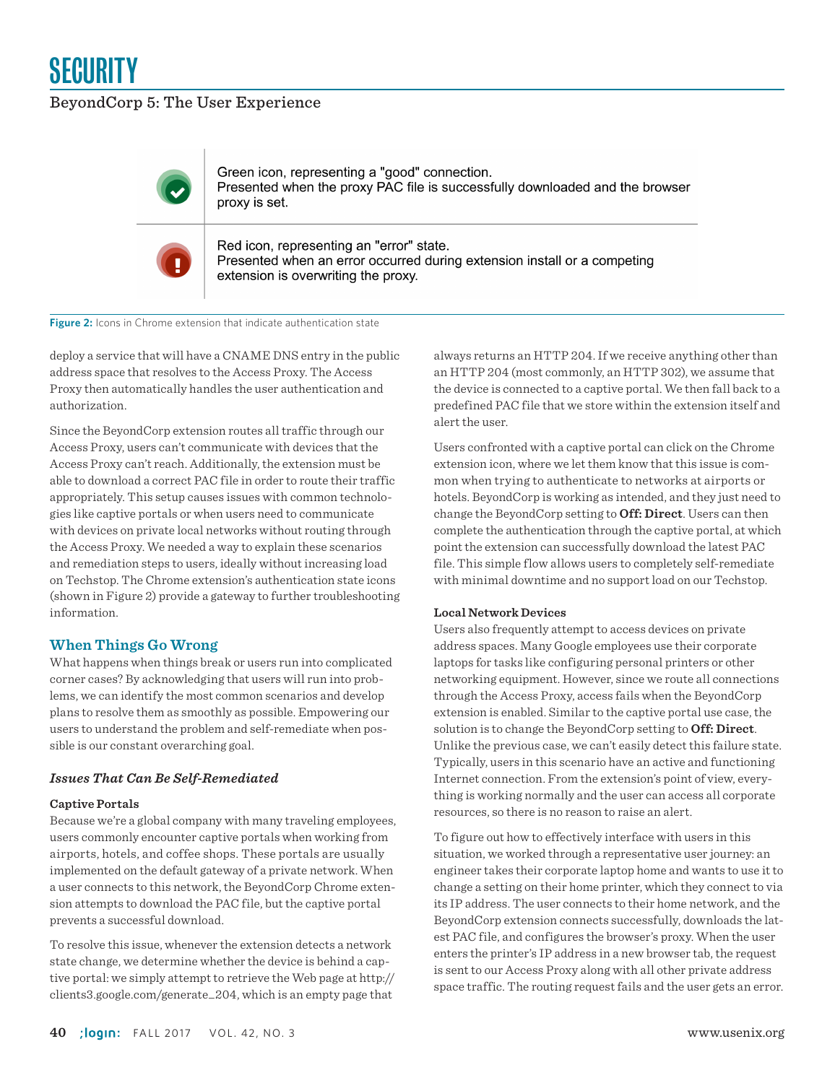

#### BeyondCorp 5: The User Experience



Green icon, representing a "good" connection. Presented when the proxy PAC file is successfully downloaded and the browser proxy is set.



Red icon, representing an "error" state. Presented when an error occurred during extension install or a competing extension is overwriting the proxy.

**Figure 2:** Icons in Chrome extension that indicate authentication state

deploy a service that will have a CNAME DNS entry in the public address space that resolves to the Access Proxy. The Access Proxy then automatically handles the user authentication and authorization.

Since the BeyondCorp extension routes all traffic through our Access Proxy, users can't communicate with devices that the Access Proxy can't reach. Additionally, the extension must be able to download a correct PAC file in order to route their traffic appropriately. This setup causes issues with common technologies like captive portals or when users need to communicate with devices on private local networks without routing through the Access Proxy. We needed a way to explain these scenarios and remediation steps to users, ideally without increasing load on Techstop. The Chrome extension's authentication state icons (shown in Figure 2) provide a gateway to further troubleshooting information.

#### **When Things Go Wrong**

What happens when things break or users run into complicated corner cases? By acknowledging that users will run into problems, we can identify the most common scenarios and develop plans to resolve them as smoothly as possible. Empowering our users to understand the problem and self-remediate when possible is our constant overarching goal.

#### *Issues That Can Be Self-Remediated*

#### **Captive Portals**

Because we're a global company with many traveling employees, users commonly encounter captive portals when working from airports, hotels, and coffee shops. These portals are usually implemented on the default gateway of a private network. When a user connects to this network, the BeyondCorp Chrome extension attempts to download the PAC file, but the captive portal prevents a successful download.

To resolve this issue, whenever the extension detects a network state change, we determine whether the device is behind a captive portal: we simply attempt to retrieve the Web page at [http://](http://clients3.google.com/generate_204) [clients3.google.com/generate\\_204](http://clients3.google.com/generate_204), which is an empty page that always returns an HTTP 204. If we receive anything other than an HTTP 204 (most commonly, an HTTP 302), we assume that the device is connected to a captive portal. We then fall back to a predefined PAC file that we store within the extension itself and alert the user.

Users confronted with a captive portal can click on the Chrome extension icon, where we let them know that this issue is common when trying to authenticate to networks at airports or hotels. BeyondCorp is working as intended, and they just need to change the BeyondCorp setting to **Off: Direct**. Users can then complete the authentication through the captive portal, at which point the extension can successfully download the latest PAC file. This simple flow allows users to completely self-remediate with minimal downtime and no support load on our Techstop.

#### **Local Network Devices**

Users also frequently attempt to access devices on private address spaces. Many Google employees use their corporate laptops for tasks like configuring personal printers or other networking equipment. However, since we route all connections through the Access Proxy, access fails when the BeyondCorp extension is enabled. Similar to the captive portal use case, the solution is to change the BeyondCorp setting to **Off: Direct**. Unlike the previous case, we can't easily detect this failure state. Typically, users in this scenario have an active and functioning Internet connection. From the extension's point of view, everything is working normally and the user can access all corporate resources, so there is no reason to raise an alert.

To figure out how to effectively interface with users in this situation, we worked through a representative user journey: an engineer takes their corporate laptop home and wants to use it to change a setting on their home printer, which they connect to via its IP address. The user connects to their home network, and the BeyondCorp extension connects successfully, downloads the latest PAC file, and configures the browser's proxy. When the user enters the printer's IP address in a new browser tab, the request is sent to our Access Proxy along with all other private address space traffic. The routing request fails and the user gets an error.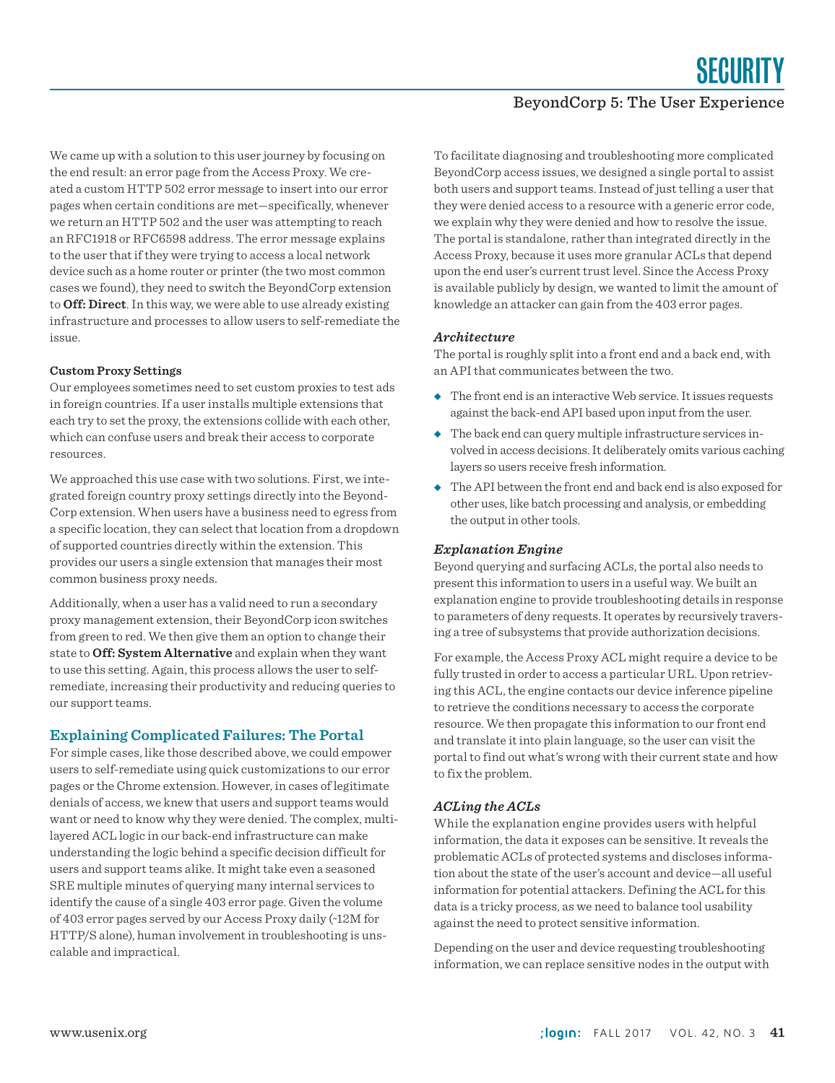SEGURITY

#### BeyondCorp 5: The User Experience

We came up with a solution to this user journey by focusing on the end result: an error page from the Access Proxy. We created a custom HTTP 502 error message to insert into our error pages when certain conditions are met—specifically, whenever we return an HTTP 502 and the user was attempting to reach an RFC1918 or RFC6598 address. The error message explains to the user that if they were trying to access a local network device such as a home router or printer (the two most common cases we found), they need to switch the BeyondCorp extension to **Off: Direct**. In this way, we were able to use already existing infrastructure and processes to allow users to self-remediate the issue.

#### **Custom Proxy Settings**

Our employees sometimes need to set custom proxies to test ads in foreign countries. If a user installs multiple extensions that each try to set the proxy, the extensions collide with each other, which can confuse users and break their access to corporate resources.

We approached this use case with two solutions. First, we integrated foreign country proxy settings directly into the Beyond-Corp extension. When users have a business need to egress from a specific location, they can select that location from a dropdown of supported countries directly within the extension. This provides our users a single extension that manages their most common business proxy needs.

Additionally, when a user has a valid need to run a secondary proxy management extension, their BeyondCorp icon switches from green to red. We then give them an option to change their state to **Off: System Alternative** and explain when they want to use this setting. Again, this process allows the user to selfremediate, increasing their productivity and reducing queries to our support teams.

#### **Explaining Complicated Failures: The Portal**

For simple cases, like those described above, we could empower users to self-remediate using quick customizations to our error pages or the Chrome extension. However, in cases of legitimate denials of access, we knew that users and support teams would want or need to know why they were denied. The complex, multilayered ACL logic in our back-end infrastructure can make understanding the logic behind a specific decision difficult for users and support teams alike. It might take even a seasoned SRE multiple minutes of querying many internal services to identify the cause of a single 403 error page. Given the volume of 403 error pages served by our Access Proxy daily (~12M for HTTP/S alone), human involvement in troubleshooting is unscalable and impractical.

To facilitate diagnosing and troubleshooting more complicated BeyondCorp access issues, we designed a single portal to assist both users and support teams. Instead of just telling a user that they were denied access to a resource with a generic error code, we explain why they were denied and how to resolve the issue. The portal is standalone, rather than integrated directly in the Access Proxy, because it uses more granular ACLs that depend upon the end user's current trust level. Since the Access Proxy is available publicly by design, we wanted to limit the amount of knowledge an attacker can gain from the 403 error pages.

#### *Architecture*

The portal is roughly split into a front end and a back end, with an API that communicates between the two.

- ◆ The front end is an interactive Web service. It issues requests against the back-end API based upon input from the user.
- ◆ The back end can query multiple infrastructure services involved in access decisions. It deliberately omits various caching layers so users receive fresh information.
- ◆ The API between the front end and back end is also exposed for other uses, like batch processing and analysis, or embedding the output in other tools.

#### *Explanation Engine*

Beyond querying and surfacing ACLs, the portal also needs to present this information to users in a useful way. We built an explanation engine to provide troubleshooting details in response to parameters of deny requests. It operates by recursively traversing a tree of subsystems that provide authorization decisions.

For example, the Access Proxy ACL might require a device to be fully trusted in order to access a particular URL. Upon retrieving this ACL, the engine contacts our device inference pipeline to retrieve the conditions necessary to access the corporate resource. We then propagate this information to our front end and translate it into plain language, so the user can visit the portal to find out what's wrong with their current state and how to fix the problem.

#### *ACLing the ACLs*

While the explanation engine provides users with helpful information, the data it exposes can be sensitive. It reveals the problematic ACLs of protected systems and discloses information about the state of the user's account and device—all useful information for potential attackers. Defining the ACL for this data is a tricky process, as we need to balance tool usability against the need to protect sensitive information.

Depending on the user and device requesting troubleshooting information, we can replace sensitive nodes in the output with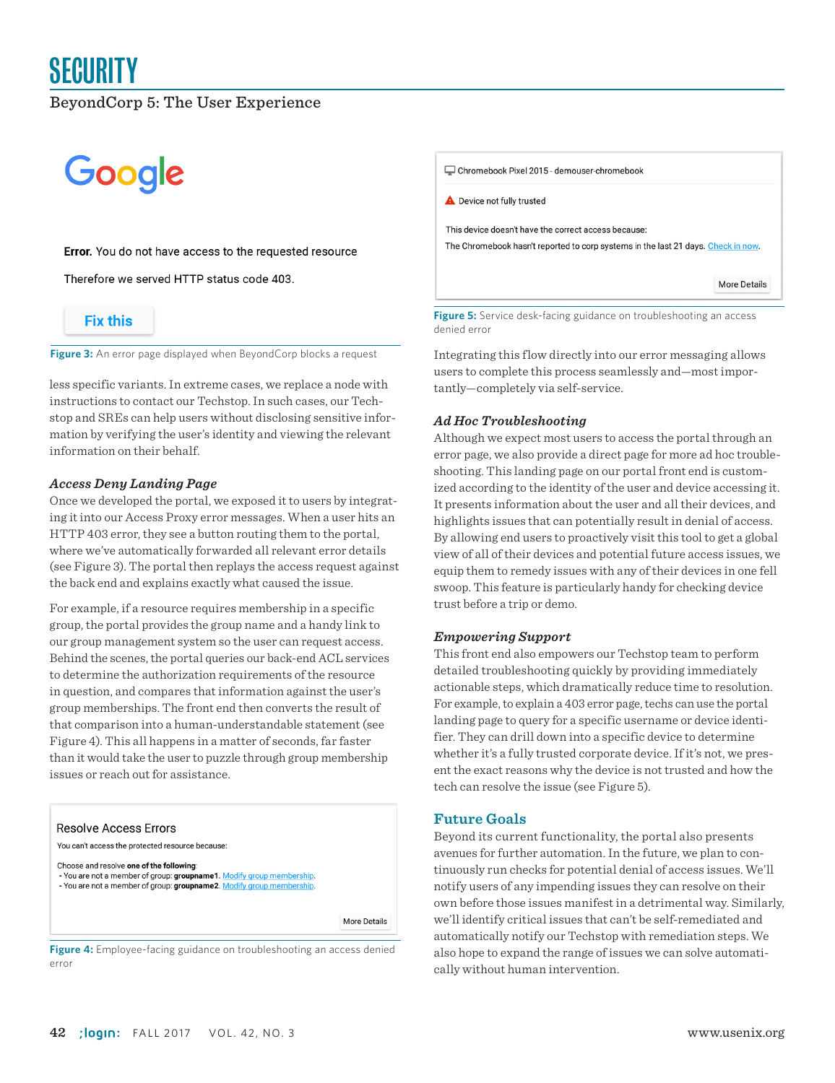## **SECURITY**

#### BeyondCorp 5: The User Experience

## Google

#### **Error.** You do not have access to the requested resource

Therefore we served HTTP status code 403.

#### **Fix this**

**Figure 3:** An error page displayed when BeyondCorp blocks a request

less specific variants. In extreme cases, we replace a node with instructions to contact our Techstop. In such cases, our Techstop and SREs can help users without disclosing sensitive information by verifying the user's identity and viewing the relevant information on their behalf.

#### *Access Deny Landing Page*

Once we developed the portal, we exposed it to users by integrating it into our Access Proxy error messages. When a user hits an HTTP 403 error, they see a button routing them to the portal, where we've automatically forwarded all relevant error details (see Figure 3). The portal then replays the access request against the back end and explains exactly what caused the issue.

For example, if a resource requires membership in a specific group, the portal provides the group name and a handy link to our group management system so the user can request access. Behind the scenes, the portal queries our back-end ACL services to determine the authorization requirements of the resource in question, and compares that information against the user's group memberships. The front end then converts the result of that comparison into a human-understandable statement (see Figure 4). This all happens in a matter of seconds, far faster than it would take the user to puzzle through group membership issues or reach out for assistance.



**Figure 4:** Employee-facing guidance on troubleshooting an access denied error

Chromebook Pixel 2015 - demouser-chromebook **A** Device not fully trusted This device doesn't have the correct access because: The Chromebook hasn't reported to corp systems in the last 21 days. Check in now. More Details

**Figure 5:** Service desk-facing guidance on troubleshooting an access denied error

Integrating this flow directly into our error messaging allows users to complete this process seamlessly and—most importantly—completely via self-service.

#### *Ad Hoc Troubleshooting*

Although we expect most users to access the portal through an error page, we also provide a direct page for more ad hoc troubleshooting. This landing page on our portal front end is customized according to the identity of the user and device accessing it. It presents information about the user and all their devices, and highlights issues that can potentially result in denial of access. By allowing end users to proactively visit this tool to get a global view of all of their devices and potential future access issues, we equip them to remedy issues with any of their devices in one fell swoop. This feature is particularly handy for checking device trust before a trip or demo.

#### *Empowering Support*

This front end also empowers our Techstop team to perform detailed troubleshooting quickly by providing immediately actionable steps, which dramatically reduce time to resolution. For example, to explain a 403 error page, techs can use the portal landing page to query for a specific username or device identifier. They can drill down into a specific device to determine whether it's a fully trusted corporate device. If it's not, we present the exact reasons why the device is not trusted and how the tech can resolve the issue (see Figure 5).

#### **Future Goals**

Beyond its current functionality, the portal also presents avenues for further automation. In the future, we plan to continuously run checks for potential denial of access issues. We'll notify users of any impending issues they can resolve on their own before those issues manifest in a detrimental way. Similarly, we'll identify critical issues that can't be self-remediated and automatically notify our Techstop with remediation steps. We also hope to expand the range of issues we can solve automatically without human intervention.